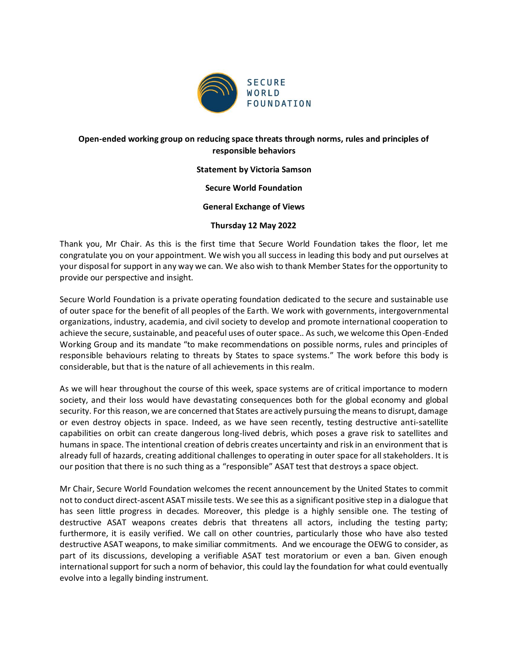

# **Open-ended working group on reducing space threats through norms, rules and principles of responsible behaviors**

### **Statement by Victoria Samson**

### **Secure World Foundation**

# **General Exchange of Views**

# **Thursday 12 May 2022**

Thank you, Mr Chair. As this is the first time that Secure World Foundation takes the floor, let me congratulate you on your appointment. We wish you all success in leading this body and put ourselves at your disposal for support in any way we can. We also wish to thank Member States for the opportunity to provide our perspective and insight.

Secure World Foundation is a private operating foundation dedicated to the secure and sustainable use of outer space for the benefit of all peoples of the Earth. We work with governments, intergovernmental organizations, industry, academia, and civil society to develop and promote international cooperation to achieve the secure, sustainable, and peaceful uses of outer space.. As such, we welcome this Open-Ended Working Group and its mandate "to make recommendations on possible norms, rules and principles of responsible behaviours relating to threats by States to space systems." The work before this body is considerable, but that is the nature of all achievements in this realm.

As we will hear throughout the course of this week, space systems are of critical importance to modern society, and their loss would have devastating consequences both for the global economy and global security. For this reason, we are concerned that States are actively pursuing the means to disrupt, damage or even destroy objects in space. Indeed, as we have seen recently, testing destructive anti-satellite capabilities on orbit can create dangerous long-lived debris, which poses a grave risk to satellites and humans in space. The intentional creation of debris creates uncertainty and risk in an environment that is already full of hazards, creating additional challenges to operating in outer space for all stakeholders. It is our position that there is no such thing as a "responsible" ASAT test that destroys a space object.

Mr Chair, Secure World Foundation welcomes the recent announcement by the United States to commit not to conduct direct-ascent ASAT missile tests. We see this as a significant positive step in a dialogue that has seen little progress in decades. Moreover, this pledge is a highly sensible one. The testing of destructive ASAT weapons creates debris that threatens all actors, including the testing party; furthermore, it is easily verified. We call on other countries, particularly those who have also tested destructive ASAT weapons, to make similiar commitments. And we encourage the OEWG to consider, as part of its discussions, developing a verifiable ASAT test moratorium or even a ban. Given enough international support for such a norm of behavior, this could lay the foundation for what could eventually evolve into a legally binding instrument.